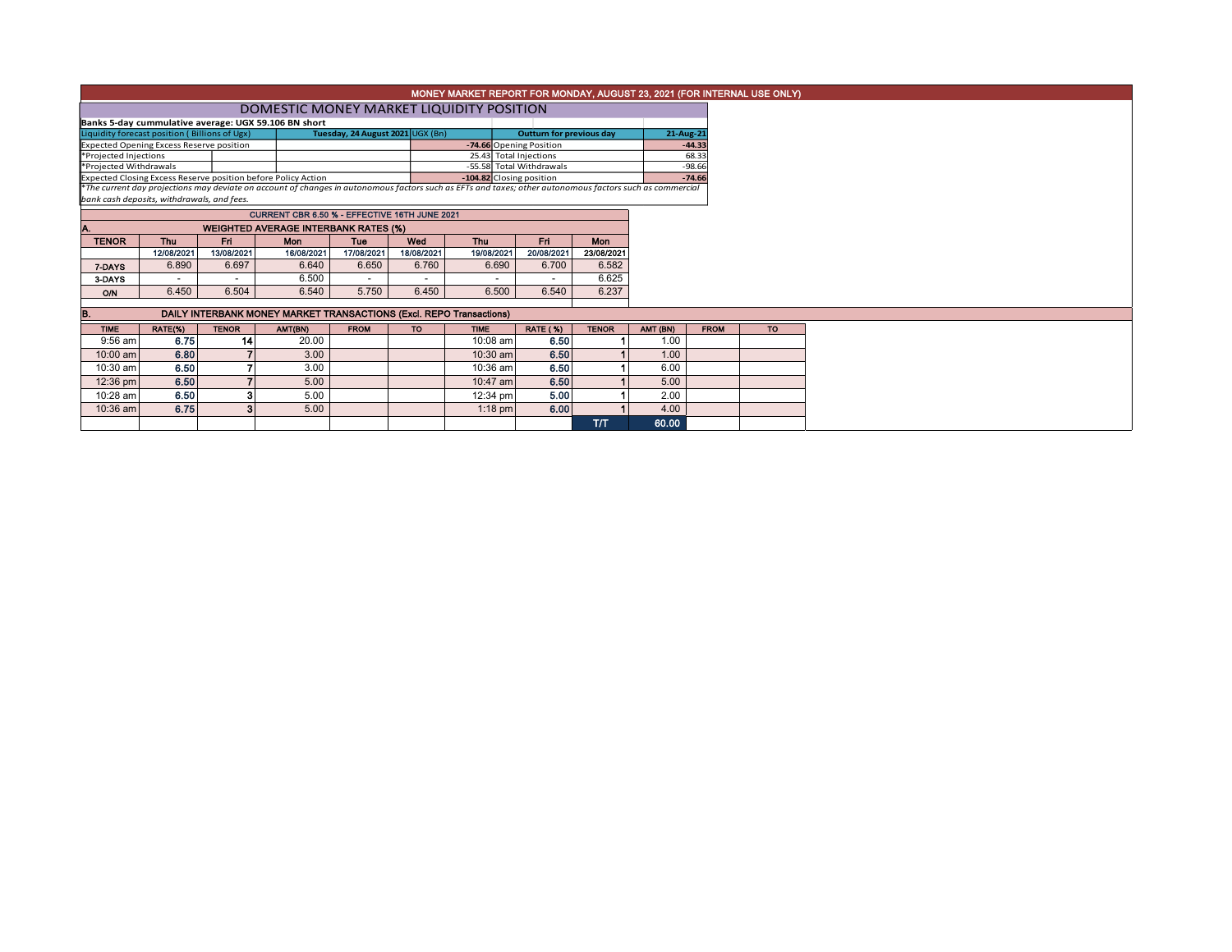|                                                                     |                                                                                                                                                                                                        |                |                                                               |                                  |                         | MONEY MARKET REPORT FOR MONDAY, AUGUST 23, 2021 (FOR INTERNAL USE ONLY) |                 |              |          |             |           |  |  |  |
|---------------------------------------------------------------------|--------------------------------------------------------------------------------------------------------------------------------------------------------------------------------------------------------|----------------|---------------------------------------------------------------|----------------------------------|-------------------------|-------------------------------------------------------------------------|-----------------|--------------|----------|-------------|-----------|--|--|--|
|                                                                     | DOMESTIC MONEY MARKET LIQUIDITY POSITION                                                                                                                                                               |                |                                                               |                                  |                         |                                                                         |                 |              |          |             |           |  |  |  |
|                                                                     | Banks 5-day cummulative average: UGX 59.106 BN short                                                                                                                                                   |                |                                                               |                                  |                         |                                                                         |                 |              |          |             |           |  |  |  |
| Liquidity forecast position (Billions of Ugx)                       |                                                                                                                                                                                                        |                |                                                               | Tuesday, 24 August 2021 UGX (Bn) |                         | Outturn for previous day                                                | 21-Aug-21       |              |          |             |           |  |  |  |
| <b>Expected Opening Excess Reserve position</b>                     |                                                                                                                                                                                                        |                |                                                               |                                  | -74.66 Opening Position |                                                                         | $-44.33$        |              |          |             |           |  |  |  |
| *Projected Injections                                               |                                                                                                                                                                                                        |                |                                                               |                                  |                         | 25.43 Total Injections                                                  |                 | 68.33        |          |             |           |  |  |  |
| *Projected Withdrawals                                              |                                                                                                                                                                                                        |                |                                                               |                                  |                         | -55.58 Total Withdrawals                                                |                 | $-98.66$     |          |             |           |  |  |  |
|                                                                     |                                                                                                                                                                                                        |                | Expected Closing Excess Reserve position before Policy Action |                                  |                         | -104.82 Closing position                                                |                 |              |          | $-74.66$    |           |  |  |  |
|                                                                     | *The current day projections may deviate on account of changes in autonomous factors such as EFTs and taxes; other autonomous factors such as commercial<br>bank cash deposits, withdrawals, and fees. |                |                                                               |                                  |                         |                                                                         |                 |              |          |             |           |  |  |  |
|                                                                     |                                                                                                                                                                                                        |                |                                                               |                                  |                         |                                                                         |                 |              |          |             |           |  |  |  |
|                                                                     |                                                                                                                                                                                                        |                | CURRENT CBR 6.50 % - EFFECTIVE 16TH JUNE 2021                 |                                  |                         |                                                                         |                 |              |          |             |           |  |  |  |
|                                                                     |                                                                                                                                                                                                        |                |                                                               |                                  |                         |                                                                         |                 |              |          |             |           |  |  |  |
| <b>TENOR</b>                                                        | <b>Thu</b>                                                                                                                                                                                             | Fri            | Mon                                                           | <b>Tue</b>                       | Wed                     | Thu                                                                     | Fri             | <b>Mon</b>   |          |             |           |  |  |  |
|                                                                     | 12/08/2021                                                                                                                                                                                             | 13/08/2021     | 16/08/2021                                                    | 17/08/2021                       | 18/08/2021              | 19/08/2021                                                              | 20/08/2021      | 23/08/2021   |          |             |           |  |  |  |
| 7-DAYS                                                              | 6.890                                                                                                                                                                                                  | 6.697          | 6.640                                                         | 6.650                            | 6.760                   | 6.690                                                                   | 6.700           | 6.582        |          |             |           |  |  |  |
| 3-DAYS                                                              | $\overline{\phantom{a}}$                                                                                                                                                                               | $\overline{a}$ | 6.500                                                         | $\overline{\phantom{0}}$         |                         |                                                                         |                 | 6.625        |          |             |           |  |  |  |
| <b>O/N</b>                                                          | 6.450                                                                                                                                                                                                  | 6.504          | 6.540                                                         | 5.750                            | 6.450                   | 6.500                                                                   | 6.540           | 6.237        |          |             |           |  |  |  |
| DAILY INTERBANK MONEY MARKET TRANSACTIONS (Excl. REPO Transactions) |                                                                                                                                                                                                        |                |                                                               |                                  |                         |                                                                         |                 |              |          |             |           |  |  |  |
| IB.                                                                 |                                                                                                                                                                                                        |                |                                                               |                                  |                         |                                                                         |                 |              |          |             |           |  |  |  |
| <b>TIME</b>                                                         | RATE(%)                                                                                                                                                                                                | <b>TENOR</b>   | AMT(BN)                                                       | <b>FROM</b>                      | <b>TO</b>               | <b>TIME</b>                                                             | <b>RATE (%)</b> | <b>TENOR</b> | AMT (BN) | <b>FROM</b> | <b>TO</b> |  |  |  |
| $9:56$ am                                                           | 6.75                                                                                                                                                                                                   | 14             | 20.00                                                         |                                  |                         | 10:08 am                                                                | 6.50            |              | 1.00     |             |           |  |  |  |
| 10:00 am                                                            | 6.80                                                                                                                                                                                                   |                | 3.00                                                          |                                  |                         | 10:30 am                                                                | 6.50            |              | 1.00     |             |           |  |  |  |
| 10:30 am                                                            | 6.50                                                                                                                                                                                                   |                | 3.00                                                          |                                  |                         | 10:36 am                                                                | 6.50            |              | 6.00     |             |           |  |  |  |
| 12:36 pm                                                            | 6.50                                                                                                                                                                                                   |                | 5.00                                                          |                                  |                         | 10:47 am                                                                | 6.50            |              | 5.00     |             |           |  |  |  |
| 10:28 am                                                            | 6.50                                                                                                                                                                                                   | 3              | 5.00                                                          |                                  |                         | 12:34 pm                                                                | 5.00            |              | 2.00     |             |           |  |  |  |
| 10:36 am                                                            | 6.75                                                                                                                                                                                                   |                | 5.00                                                          |                                  |                         | $1:18$ pm                                                               | 6.00            |              | 4.00     |             |           |  |  |  |
|                                                                     |                                                                                                                                                                                                        |                |                                                               |                                  |                         |                                                                         |                 | <b>T/T</b>   | 60.00    |             |           |  |  |  |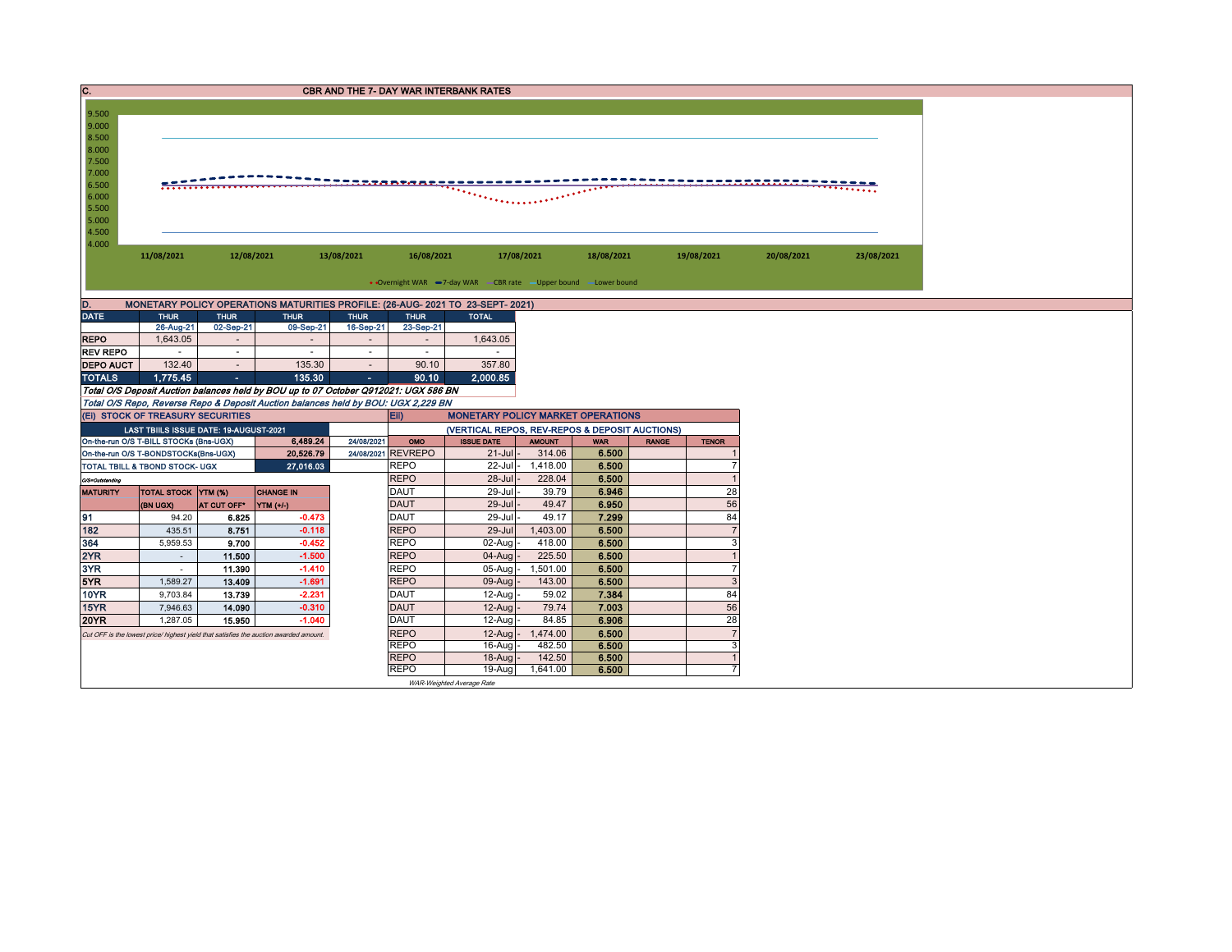| $\overline{\mathbf{c}}$ .                                  | <b>CBR AND THE 7- DAY WAR INTERBANK RATES</b>                                    |                         |                                                                                       |                                    |                                                                                                                                           |                                                                                |                |                |  |                |            |            |  |  |  |
|------------------------------------------------------------|----------------------------------------------------------------------------------|-------------------------|---------------------------------------------------------------------------------------|------------------------------------|-------------------------------------------------------------------------------------------------------------------------------------------|--------------------------------------------------------------------------------|----------------|----------------|--|----------------|------------|------------|--|--|--|
| 9.500                                                      |                                                                                  |                         |                                                                                       |                                    |                                                                                                                                           |                                                                                |                |                |  |                |            |            |  |  |  |
| 9.000                                                      |                                                                                  |                         |                                                                                       |                                    |                                                                                                                                           |                                                                                |                |                |  |                |            |            |  |  |  |
| 8.500                                                      |                                                                                  |                         |                                                                                       |                                    |                                                                                                                                           |                                                                                |                |                |  |                |            |            |  |  |  |
| 8.000                                                      |                                                                                  |                         |                                                                                       |                                    |                                                                                                                                           |                                                                                |                |                |  |                |            |            |  |  |  |
| 7.500                                                      |                                                                                  |                         |                                                                                       |                                    |                                                                                                                                           |                                                                                |                |                |  |                |            |            |  |  |  |
| 7.000<br>6.500                                             |                                                                                  |                         |                                                                                       |                                    |                                                                                                                                           |                                                                                |                |                |  |                | .          |            |  |  |  |
| 6.000                                                      |                                                                                  |                         |                                                                                       |                                    |                                                                                                                                           |                                                                                |                |                |  |                |            |            |  |  |  |
| 5.500                                                      |                                                                                  |                         |                                                                                       |                                    |                                                                                                                                           |                                                                                |                |                |  |                |            |            |  |  |  |
| 5.000                                                      |                                                                                  |                         |                                                                                       |                                    |                                                                                                                                           |                                                                                |                |                |  |                |            |            |  |  |  |
| 4.500<br>4.000                                             |                                                                                  |                         |                                                                                       |                                    |                                                                                                                                           |                                                                                |                |                |  |                |            |            |  |  |  |
|                                                            | 11/08/2021                                                                       | 12/08/2021              |                                                                                       | 13/08/2021                         | 16/08/2021                                                                                                                                | 17/08/2021                                                                     |                | 18/08/2021     |  | 19/08/2021     | 20/08/2021 | 23/08/2021 |  |  |  |
|                                                            |                                                                                  |                         |                                                                                       |                                    |                                                                                                                                           |                                                                                |                |                |  |                |            |            |  |  |  |
|                                                            |                                                                                  |                         |                                                                                       |                                    |                                                                                                                                           | • Overnight WAR -7-day WAR - CBR rate - Upper bound - Lower bound              |                |                |  |                |            |            |  |  |  |
| D.                                                         |                                                                                  |                         |                                                                                       |                                    |                                                                                                                                           | MONETARY POLICY OPERATIONS MATURITIES PROFILE: (26-AUG- 2021 TO 23-SEPT- 2021) |                |                |  |                |            |            |  |  |  |
| <b>DATE</b>                                                | <b>THUR</b>                                                                      | <b>THUR</b>             | <b>THUR</b>                                                                           | <b>THUR</b>                        | <b>THUR</b>                                                                                                                               | <b>TOTAL</b>                                                                   |                |                |  |                |            |            |  |  |  |
|                                                            | 26-Aug-21                                                                        | 02-Sep-21               | 09-Sep-21                                                                             | 16-Sep-21                          | 23-Sep-21                                                                                                                                 |                                                                                |                |                |  |                |            |            |  |  |  |
| <b>REPO</b><br><b>REV REPO</b>                             | 1,643.05<br>$\sim$                                                               | $\sim$<br>$\sim$        | $\sim$<br>$\sim$                                                                      | $\overline{\phantom{a}}$<br>$\sim$ | $\overline{\phantom{a}}$<br>$\sim$                                                                                                        | 1,643.05<br>$\sim$                                                             |                |                |  |                |            |            |  |  |  |
| <b>DEPO AUCT</b>                                           | 132.40                                                                           | $\sim$                  | 135.30                                                                                | $\overline{\phantom{a}}$           | 90.10                                                                                                                                     | 357.80                                                                         |                |                |  |                |            |            |  |  |  |
| <b>TOTALS</b>                                              | 1,775.45                                                                         | $\sim$                  | 135.30                                                                                | $\sim$                             | 90.10                                                                                                                                     | 2,000.85                                                                       |                |                |  |                |            |            |  |  |  |
|                                                            |                                                                                  |                         | Total O/S Deposit Auction balances held by BOU up to 07 October Q912021: UGX 586 BN   |                                    |                                                                                                                                           |                                                                                |                |                |  |                |            |            |  |  |  |
|                                                            |                                                                                  |                         | Total O/S Repo, Reverse Repo & Deposit Auction balances held by BOU: UGX 2,229 BN     |                                    |                                                                                                                                           |                                                                                |                |                |  |                |            |            |  |  |  |
|                                                            | (EI) STOCK OF TREASURY SECURITIES                                                |                         |                                                                                       |                                    | Eii)                                                                                                                                      | <b>MONETARY POLICY MARKET OPERATIONS</b>                                       |                |                |  |                |            |            |  |  |  |
|                                                            | LAST TBIILS ISSUE DATE: 19-AUGUST-2021<br>On-the-run O/S T-BILL STOCKs (Bns-UGX) |                         | 6.489.24                                                                              | 24/08/2021                         | (VERTICAL REPOS, REV-REPOS & DEPOSIT AUCTIONS)<br><b>ISSUE DATE</b><br>OMO<br><b>AMOUNT</b><br><b>WAR</b><br><b>RANGE</b><br><b>TENOR</b> |                                                                                |                |                |  |                |            |            |  |  |  |
|                                                            | On-the-run O/S T-BONDSTOCKs(Bns-UGX)                                             |                         | 20,526.79                                                                             |                                    | 24/08/2021 REVREPO                                                                                                                        | $21$ -Jul -                                                                    | 314.06         | 6.500          |  |                |            |            |  |  |  |
| 27.016.03<br><b>REPO</b><br>TOTAL TBILL & TBOND STOCK- UGX |                                                                                  |                         |                                                                                       |                                    |                                                                                                                                           | $22$ -Jul                                                                      | 1,418.00       | 6.500          |  | 7              |            |            |  |  |  |
| O/S=Outstanding                                            |                                                                                  |                         |                                                                                       |                                    | <b>REPO</b>                                                                                                                               | $28 -$ Jul                                                                     | 228.04         | 6.500          |  |                |            |            |  |  |  |
| <b>MATURITY</b>                                            | <b>CHANGE IN</b><br><b>TOTAL STOCK YTM (%)</b>                                   |                         |                                                                                       |                                    | <b>DAUT</b>                                                                                                                               | 29-Jul                                                                         | 39.79          | 6.946          |  | 28             |            |            |  |  |  |
|                                                            | (BN UGX)                                                                         | AT CUT OFF <sup>®</sup> | YTM (+/-)                                                                             |                                    | <b>DAUT</b><br>DAUT                                                                                                                       | 29-Jul<br>29-Jul                                                               | 49.47<br>49.17 | 6.950          |  | 56<br>84       |            |            |  |  |  |
| 91<br>182                                                  | 94.20<br>435.51                                                                  | 6.825<br>8.751          | $-0.473$<br>$-0.118$                                                                  |                                    | <b>REPO</b>                                                                                                                               | 29-Jul                                                                         | 1,403.00       | 7.299<br>6,500 |  | $\overline{7}$ |            |            |  |  |  |
| 364                                                        | 5,959.53                                                                         | 9.700                   | $-0.452$                                                                              |                                    | <b>REPO</b>                                                                                                                               | 02-Aug                                                                         | 418.00         | 6.500          |  | 3              |            |            |  |  |  |
| 2YR                                                        | $\sim$                                                                           | 11.500                  | $-1.500$                                                                              |                                    | <b>REPO</b>                                                                                                                               | $04-Auq$                                                                       | 225.50         | 6.500          |  |                |            |            |  |  |  |
| 3YR                                                        | $\sim$                                                                           | 11.390                  | $-1.410$                                                                              |                                    | <b>REPO</b>                                                                                                                               | $05$ -Aug                                                                      | 1,501.00       | 6.500          |  | $\overline{7}$ |            |            |  |  |  |
| 5YR                                                        | 1,589.27                                                                         | 13.409                  | $-1.691$                                                                              |                                    | <b>REPO</b>                                                                                                                               | 09-Aug                                                                         | 143.00         | 6.500          |  | $\mathbf{3}$   |            |            |  |  |  |
| <b>10YR</b>                                                | 9,703.84                                                                         | 13.739                  | $-2.231$                                                                              |                                    | <b>DAUT</b>                                                                                                                               | $12-Auq$                                                                       | 59.02          | 7.384          |  | 84             |            |            |  |  |  |
| 15YR<br><b>20YR</b>                                        | 7,946.63<br>1,287.05                                                             | 14.090<br>15.950        | $-0.310$<br>$-1.040$                                                                  |                                    | <b>DAUT</b><br><b>DAUT</b>                                                                                                                | $12$ -Aug<br>12-Aug                                                            | 79.74<br>84.85 | 7.003<br>6.906 |  | 56<br>28       |            |            |  |  |  |
|                                                            |                                                                                  |                         | Cut OFF is the lowest price/ highest yield that satisfies the auction awarded amount. |                                    | <b>REPO</b>                                                                                                                               | $12$ -Aug                                                                      | 1,474.00       | 6.500          |  | $\overline{7}$ |            |            |  |  |  |
|                                                            |                                                                                  |                         |                                                                                       |                                    | <b>REPO</b>                                                                                                                               | 16-Aug                                                                         | 482.50         | 6,500          |  | 3              |            |            |  |  |  |
|                                                            |                                                                                  |                         |                                                                                       |                                    | <b>REPO</b>                                                                                                                               | $18-Auq$                                                                       | 142.50         | 6.500          |  |                |            |            |  |  |  |
|                                                            |                                                                                  |                         |                                                                                       |                                    | <b>REPO</b>                                                                                                                               | 19-Aug                                                                         | 1,641.00       | 6.500          |  |                |            |            |  |  |  |
|                                                            |                                                                                  |                         |                                                                                       |                                    |                                                                                                                                           | WAR-Weighted Average Rate                                                      |                |                |  |                |            |            |  |  |  |